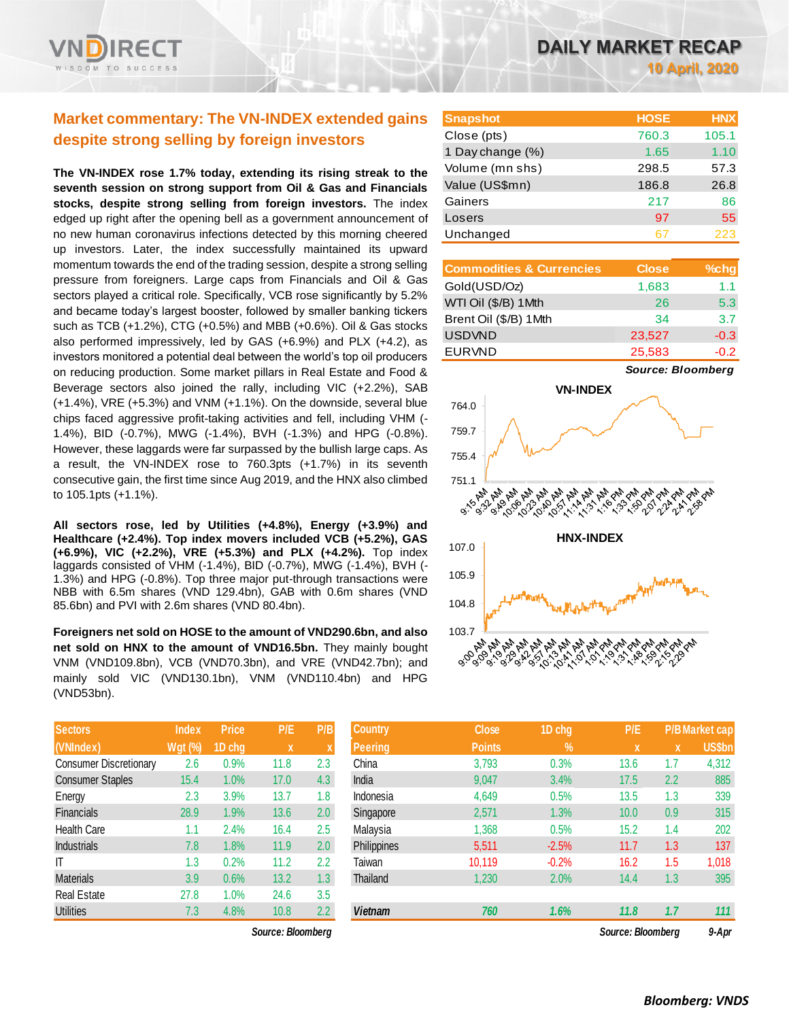# **Market commentary: The VN-INDEX extended gains despite strong selling by foreign investors**

**The VN-INDEX rose 1.7% today, extending its rising streak to the seventh session on strong support from Oil & Gas and Financials stocks, despite strong selling from foreign investors.** The index edged up right after the opening bell as a government announcement of no new human coronavirus infections detected by this morning cheered up investors. Later, the index successfully maintained its upward momentum towards the end of the trading session, despite a strong selling pressure from foreigners. Large caps from Financials and Oil & Gas sectors played a critical role. Specifically, VCB rose significantly by 5.2% and became today's largest booster, followed by smaller banking tickers such as TCB (+1.2%), CTG (+0.5%) and MBB (+0.6%). Oil & Gas stocks also performed impressively, led by GAS (+6.9%) and PLX (+4.2), as investors monitored a potential deal between the world's top oil producers on reducing production. Some market pillars in Real Estate and Food & Beverage sectors also joined the rally, including VIC (+2.2%), SAB (+1.4%), VRE (+5.3%) and VNM (+1.1%). On the downside, several blue chips faced aggressive profit-taking activities and fell, including VHM (- 1.4%), BID (-0.7%), MWG (-1.4%), BVH (-1.3%) and HPG (-0.8%). However, these laggards were far surpassed by the bullish large caps. As a result, the VN-INDEX rose to 760.3pts (+1.7%) in its seventh consecutive gain, the first time since Aug 2019, and the HNX also climbed to 105.1pts (+1.1%).

**All sectors rose, led by Utilities (+4.8%), Energy (+3.9%) and Healthcare (+2.4%). Top index movers included VCB (+5.2%), GAS (+6.9%), VIC (+2.2%), VRE (+5.3%) and PLX (+4.2%).** Top index laggards consisted of VHM (-1.4%), BID (-0.7%), MWG (-1.4%), BVH (- 1.3%) and HPG (-0.8%). Top three major put-through transactions were NBB with 6.5m shares (VND 129.4bn), GAB with 0.6m shares (VND 85.6bn) and PVI with 2.6m shares (VND 80.4bn).

**Foreigners net sold on HOSE to the amount of VND290.6bn, and also net sold on HNX to the amount of VND16.5bn.** They mainly bought VNM (VND109.8bn), VCB (VND70.3bn), and VRE (VND42.7bn); and mainly sold VIC (VND130.1bn), VNM (VND110.4bn) and HPG (VND53bn).

| <b>Sectors</b>                | <b>Index</b>   | Price  | P/E  | P/B              |
|-------------------------------|----------------|--------|------|------------------|
| (VNIndex)                     | <b>Wgt (%)</b> | 1D chg | x    | X                |
| <b>Consumer Discretionary</b> | 2.6            | 0.9%   | 11.8 | 2.3              |
| <b>Consumer Staples</b>       | 15.4           | 1.0%   | 17.0 | 4.3              |
| Energy                        | 2.3            | 3.9%   | 13.7 | 1.8              |
| Financials                    | 28.9           | 1.9%   | 13.6 | 2.0              |
| <b>Health Care</b>            | 1.1            | 2.4%   | 16.4 | 2.5              |
| <b>Industrials</b>            | 7.8            | 1.8%   | 11.9 | 2.0              |
| IT                            | 1.3            | 0.2%   | 11.2 | 2.2              |
| <b>Materials</b>              | 3.9            | 0.6%   | 13.2 | 1.3              |
| <b>Real Estate</b>            | 27.8           | 1.0%   | 24.6 | 3.5              |
| Utilities                     | 7.3            | 4.8%   | 10.8 | $2.2\phantom{0}$ |

 $Source: Bloomberg$ 

| <b>Snapshot</b>  | <b>HOSE</b> | <b>HNX</b> |
|------------------|-------------|------------|
| Close (pts)      | 760.3       | 105.1      |
| 1 Day change (%) | 1.65        | 1.10       |
| Volume (mn shs)  | 298.5       | 57.3       |
| Value (US\$mn)   | 186.8       | 26.8       |
| Gainers          | 217         | 86         |
| Losers           | 97          | 55         |
| Unchanged        | 67          | 223        |

| <b>Commodities &amp; Currencies</b> | <b>Close</b> | %chg   |
|-------------------------------------|--------------|--------|
| Gold(USD/Oz)                        | 1,683        | 1.1    |
| WTI Oil (\$/B) 1Mth                 | 26           | 5.3    |
| Brent Oil (\$/B) 1Mth               | 34           | 3.7    |
| <b>USDVND</b>                       | 23,527       | $-0.3$ |
| <b>EURVND</b>                       | 25,583       | $-0.2$ |

*Source: Bloomberg*



| <b>Sectors</b>          | <b>Index</b>   | <b>Price</b> | P/E               | P/B | <b>Country</b> | <b>Close</b>  | 1D chg  | P/E               |     | <b>P/BMarket cap</b> |
|-------------------------|----------------|--------------|-------------------|-----|----------------|---------------|---------|-------------------|-----|----------------------|
| (VNIndex)               | <b>Wgt (%)</b> | 1D chg       | X                 |     | Peering        | <b>Points</b> | $\%$    | $\mathbf{x}$      | X   | US\$bn               |
| Consumer Discretionary  | 2.6            | 0.9%         | 11.8              | 2.3 | China          | 3,793         | 0.3%    | 13.6              | 1.7 | 4,312                |
| <b>Consumer Staples</b> | 15.4           | 1.0%         | 17.0              | 4.3 | India          | 9,047         | 3.4%    | 17.5              | 2.2 | 885                  |
| Energy                  | 2.3            | 3.9%         | 13.7              | 1.8 | Indonesia      | 4,649         | 0.5%    | 13.5              | 1.3 | 339                  |
| Financials              | 28.9           | $1.9\%$      | 13.6              | 2.0 | Singapore      | 2,571         | 1.3%    | 10.0              | 0.9 | 315                  |
| <b>Health Care</b>      | 1.1            | 2.4%         | 16.4              | 2.5 | Malavsia       | 1,368         | 0.5%    | 15.2              | 1.4 | 202                  |
| <b>Industrials</b>      | 7.8            | $.8\%$       | 11.9              | 2.0 | Philippines    | 5,511         | $-2.5%$ | 11.7              | 1.3 | 137                  |
| ΙT                      | 1.3            | 0.2%         | 11.2              | 2.2 | Taiwan         | 10,119        | $-0.2%$ | 16.2              | 1.5 | 1,018                |
| Materials               | 3.9            | 0.6%         | 13.2              | 1.3 | Thailand       | 1,230         | 2.0%    | 14.4              | 1.3 | 395                  |
| Real Estate             | 27.8           | $1.0\%$      | 24.6              | 3.5 |                |               |         |                   |     |                      |
| <b>Utilities</b>        | 7.3            | 4.8%         | 10.8              | 2.2 | <b>Vietnam</b> | 760           | 1.6%    | 11.8              | 1.7 | 111                  |
|                         |                |              | Source: Bloomberg |     |                |               |         | Source: Bloomberg |     | 9-Apr                |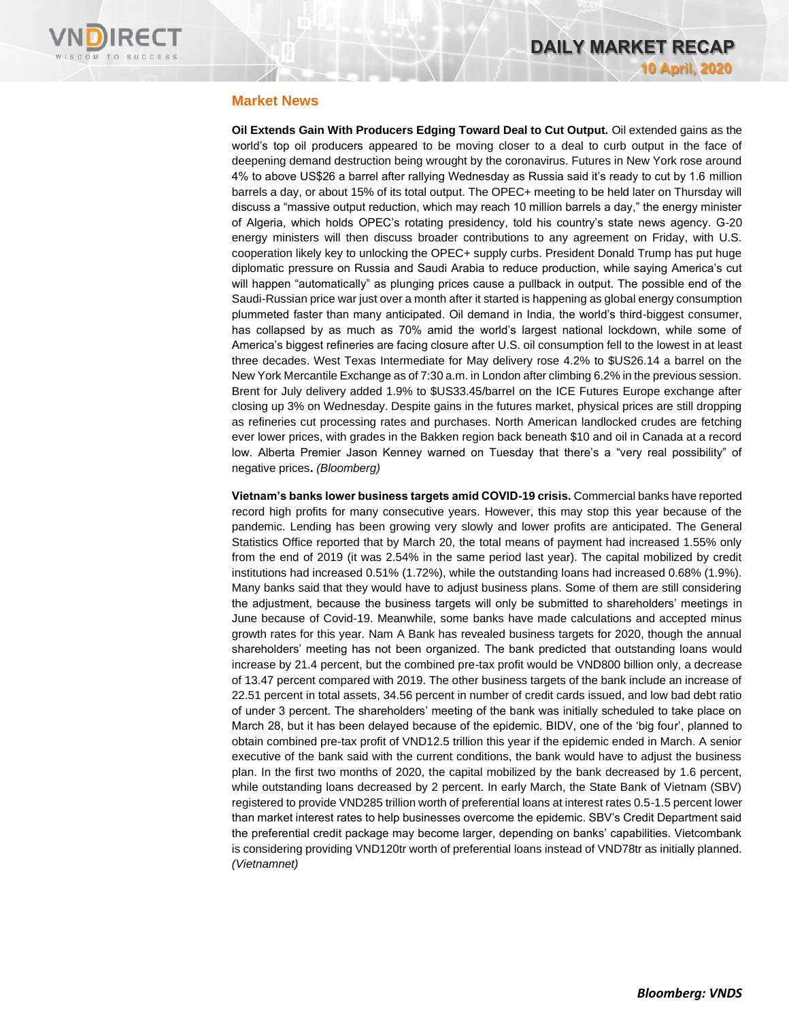

## **Market News**

**Oil Extends Gain With Producers Edging Toward Deal to Cut Output.** Oil extended gains as the world's top oil producers appeared to be moving closer to a deal to curb output in the face of deepening demand destruction being wrought by the coronavirus. Futures in New York rose around 4% to above US\$26 a barrel after rallying Wednesday as Russia said it's ready to cut by 1.6 million barrels a day, or about 15% of its total output. The OPEC+ meeting to be held later on Thursday will discuss a "massive output reduction, which may reach 10 million barrels a day," the energy minister of Algeria, which holds OPEC's rotating presidency, told his country's state news agency. G-20 energy ministers will then discuss broader contributions to any agreement on Friday, with U.S. cooperation likely key to unlocking the OPEC+ supply curbs. President Donald Trump has put huge diplomatic pressure on Russia and Saudi Arabia to reduce production, while saying America's cut will happen "automatically" as plunging prices cause a pullback in output. The possible end of the Saudi-Russian price war just over a month after it started is happening as global energy consumption plummeted faster than many anticipated. Oil demand in India, the world's third-biggest consumer, has collapsed by as much as 70% amid the world's largest national lockdown, while some of America's biggest refineries are facing closure after U.S. oil consumption fell to the lowest in at least three decades. West Texas Intermediate for May delivery rose 4.2% to \$US26.14 a barrel on the New York Mercantile Exchange as of 7:30 a.m. in London after climbing 6.2% in the previous session. Brent for July delivery added 1.9% to \$US33.45/barrel on the ICE Futures Europe exchange after closing up 3% on Wednesday. Despite gains in the futures market, physical prices are still dropping as refineries cut processing rates and purchases. North American landlocked crudes are fetching ever lower prices, with grades in the Bakken region back beneath \$10 and oil in Canada at a record low. Alberta Premier Jason Kenney warned on Tuesday that there's a "very real possibility" of negative prices**.** *(Bloomberg)*

**Vietnam's banks lower business targets amid COVID-19 crisis.** Commercial banks have reported record high profits for many consecutive years. However, this may stop this year because of the pandemic. Lending has been growing very slowly and lower profits are anticipated. The General Statistics Office reported that by March 20, the total means of payment had increased 1.55% only from the end of 2019 (it was 2.54% in the same period last year). The capital mobilized by credit institutions had increased 0.51% (1.72%), while the outstanding loans had increased 0.68% (1.9%). Many banks said that they would have to adjust business plans. Some of them are still considering the adjustment, because the business targets will only be submitted to shareholders' meetings in June because of Covid-19. Meanwhile, some banks have made calculations and accepted minus growth rates for this year. Nam A Bank has revealed business targets for 2020, though the annual shareholders' meeting has not been organized. The bank predicted that outstanding loans would increase by 21.4 percent, but the combined pre-tax profit would be VND800 billion only, a decrease of 13.47 percent compared with 2019. The other business targets of the bank include an increase of 22.51 percent in total assets, 34.56 percent in number of credit cards issued, and low bad debt ratio of under 3 percent. The shareholders' meeting of the bank was initially scheduled to take place on March 28, but it has been delayed because of the epidemic. BIDV, one of the 'big four', planned to obtain combined pre-tax profit of VND12.5 trillion this year if the epidemic ended in March. A senior executive of the bank said with the current conditions, the bank would have to adjust the business plan. In the first two months of 2020, the capital mobilized by the bank decreased by 1.6 percent, while outstanding loans decreased by 2 percent. In early March, the State Bank of Vietnam (SBV) registered to provide VND285 trillion worth of preferential loans at interest rates 0.5-1.5 percent lower than market interest rates to help businesses overcome the epidemic. SBV's Credit Department said the preferential credit package may become larger, depending on banks' capabilities. Vietcombank is considering providing VND120tr worth of preferential loans instead of VND78tr as initially planned. *(Vietnamnet)*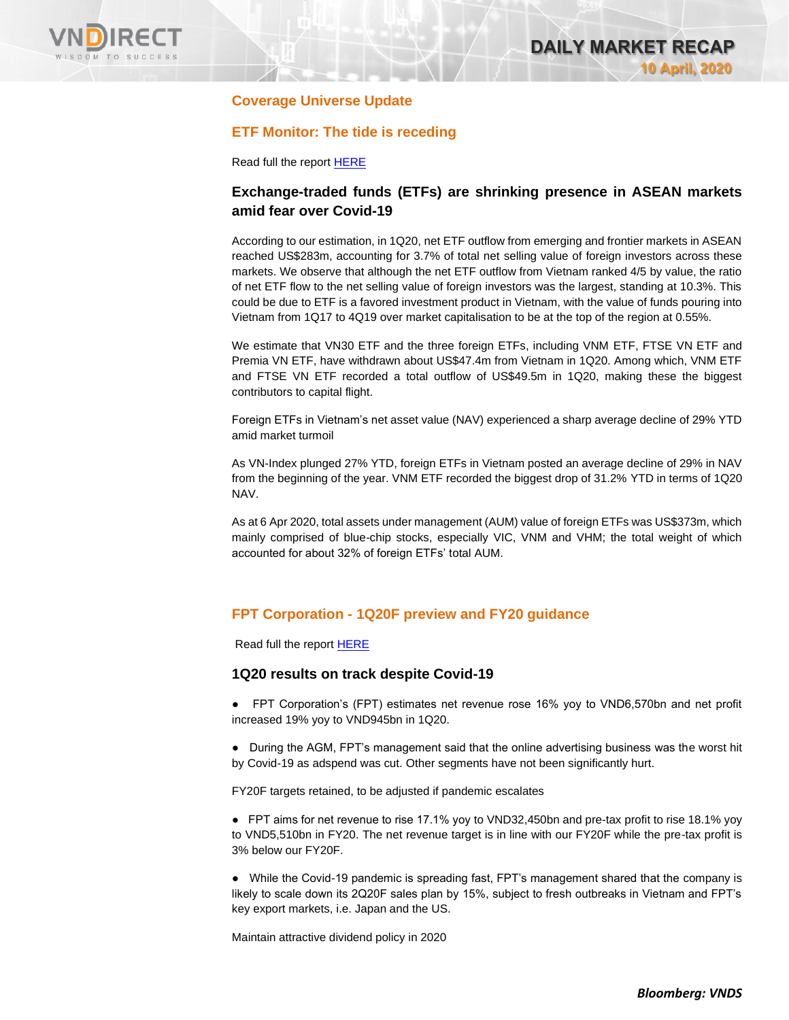

# **Coverage Universe Update**

# **ETF Monitor: The tide is receding**

Read full the report [HERE](https://nhanha-public-api.vndirect.com.vn/click/OGE0ODlmZDA2ODYwMjZlMjAxNjg5OGJiOGM4YjMxODQ=/N2IwODc3MTM2YWVlNDEzNWExYWYxYmEwOWJhYmY4NTc=/7b0877136aee4135a1af1ba09babf857-MarketStrategy_ETFMonitor_20200408.pdf/cmVzZWFyY2hAdm5kaXJlY3QuY29tLnZu/MTY5ODc=)

# **Exchange-traded funds (ETFs) are shrinking presence in ASEAN markets amid fear over Covid-19**

According to our estimation, in 1Q20, net ETF outflow from emerging and frontier markets in ASEAN reached US\$283m, accounting for 3.7% of total net selling value of foreign investors across these markets. We observe that although the net ETF outflow from Vietnam ranked 4/5 by value, the ratio of net ETF flow to the net selling value of foreign investors was the largest, standing at 10.3%. This could be due to ETF is a favored investment product in Vietnam, with the value of funds pouring into Vietnam from 1Q17 to 4Q19 over market capitalisation to be at the top of the region at 0.55%.

We estimate that VN30 ETF and the three foreign ETFs, including VNM ETF, FTSE VN ETF and Premia VN ETF, have withdrawn about US\$47.4m from Vietnam in 1Q20. Among which, VNM ETF and FTSE VN ETF recorded a total outflow of US\$49.5m in 1Q20, making these the biggest contributors to capital flight.

Foreign ETFs in Vietnam's net asset value (NAV) experienced a sharp average decline of 29% YTD amid market turmoil

As VN-Index plunged 27% YTD, foreign ETFs in Vietnam posted an average decline of 29% in NAV from the beginning of the year. VNM ETF recorded the biggest drop of 31.2% YTD in terms of 1Q20 NAV.

As at 6 Apr 2020, total assets under management (AUM) value of foreign ETFs was US\$373m, which mainly comprised of blue-chip stocks, especially VIC, VNM and VHM; the total weight of which accounted for about 32% of foreign ETFs' total AUM.

# **FPT Corporation - 1Q20F preview and FY20 guidance**

Read full the repor[t HERE](https://nhanha-public-api.vndirect.com.vn/click/OGE0ODlmZDA3MDFjZjM0OTAxNzAxZWQ4OTRkZjAwMDk=/M2MxOTU5MmRlODFmNDhlZmI4YjNlZGQ1ZjFmN2UzNmU=/3c19592de81f48efb8b3edd5f1f7e36e-FPT_AGMNote_20200409.pdf/cmVzZWFyY2hAdm5kaXJlY3QuY29tLnZu/MTcwMDA=)

#### **1Q20 results on track despite Covid-19**

● FPT Corporation's (FPT) estimates net revenue rose 16% yoy to VND6,570bn and net profit increased 19% yoy to VND945bn in 1Q20.

● During the AGM, FPT's management said that the online advertising business was the worst hit by Covid-19 as adspend was cut. Other segments have not been significantly hurt.

FY20F targets retained, to be adjusted if pandemic escalates

● FPT aims for net revenue to rise 17.1% yoy to VND32,450bn and pre-tax profit to rise 18.1% yoy to VND5,510bn in FY20. The net revenue target is in line with our FY20F while the pre-tax profit is 3% below our FY20F.

● While the Covid-19 pandemic is spreading fast, FPT's management shared that the company is likely to scale down its 2Q20F sales plan by 15%, subject to fresh outbreaks in Vietnam and FPT's key export markets, i.e. Japan and the US.

Maintain attractive dividend policy in 2020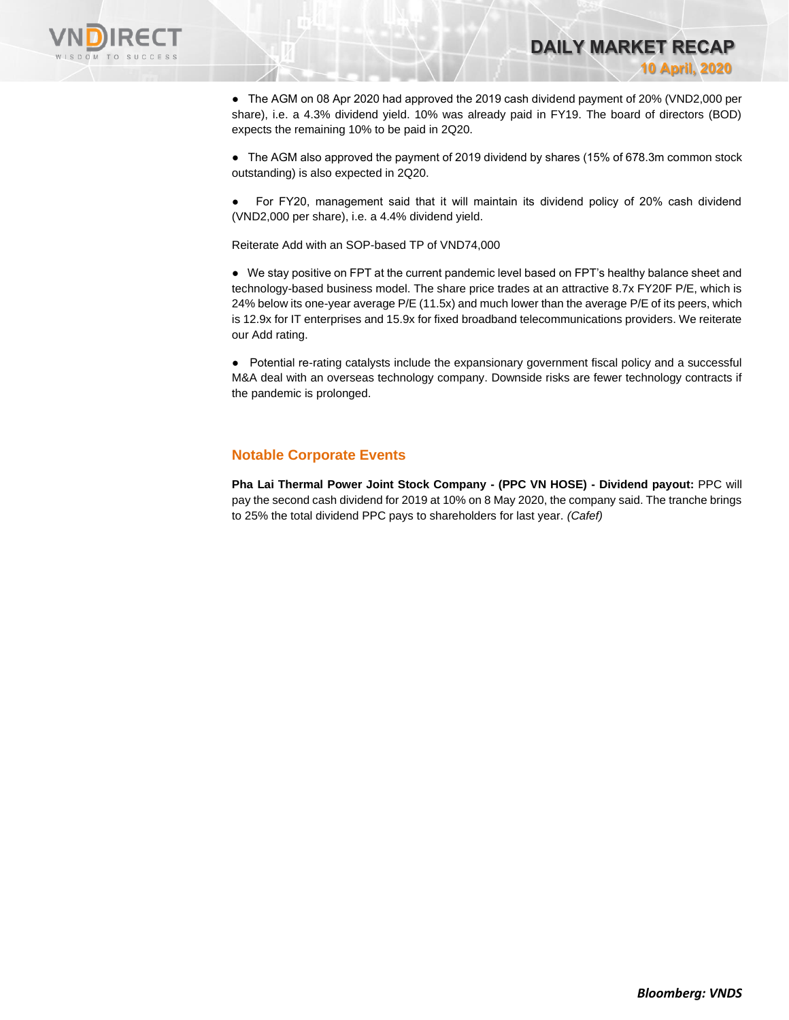

● The AGM on 08 Apr 2020 had approved the 2019 cash dividend payment of 20% (VND2,000 per share), i.e. a 4.3% dividend yield. 10% was already paid in FY19. The board of directors (BOD) expects the remaining 10% to be paid in 2Q20.

**DAILY MARKET RECAP** 

**10 April, 2020**

● The AGM also approved the payment of 2019 dividend by shares (15% of 678.3m common stock outstanding) is also expected in 2Q20.

For FY20, management said that it will maintain its dividend policy of 20% cash dividend (VND2,000 per share), i.e. a 4.4% dividend yield.

Reiterate Add with an SOP-based TP of VND74,000

● We stay positive on FPT at the current pandemic level based on FPT's healthy balance sheet and technology-based business model. The share price trades at an attractive 8.7x FY20F P/E, which is 24% below its one-year average P/E (11.5x) and much lower than the average P/E of its peers, which is 12.9x for IT enterprises and 15.9x for fixed broadband telecommunications providers. We reiterate our Add rating.

● Potential re-rating catalysts include the expansionary government fiscal policy and a successful M&A deal with an overseas technology company. Downside risks are fewer technology contracts if the pandemic is prolonged.

#### **Notable Corporate Events**

**Pha Lai Thermal Power Joint Stock Company - (PPC VN HOSE) - Dividend payout:** PPC will pay the second cash dividend for 2019 at 10% on 8 May 2020, the company said. The tranche brings to 25% the total dividend PPC pays to shareholders for last year. *(Cafef)*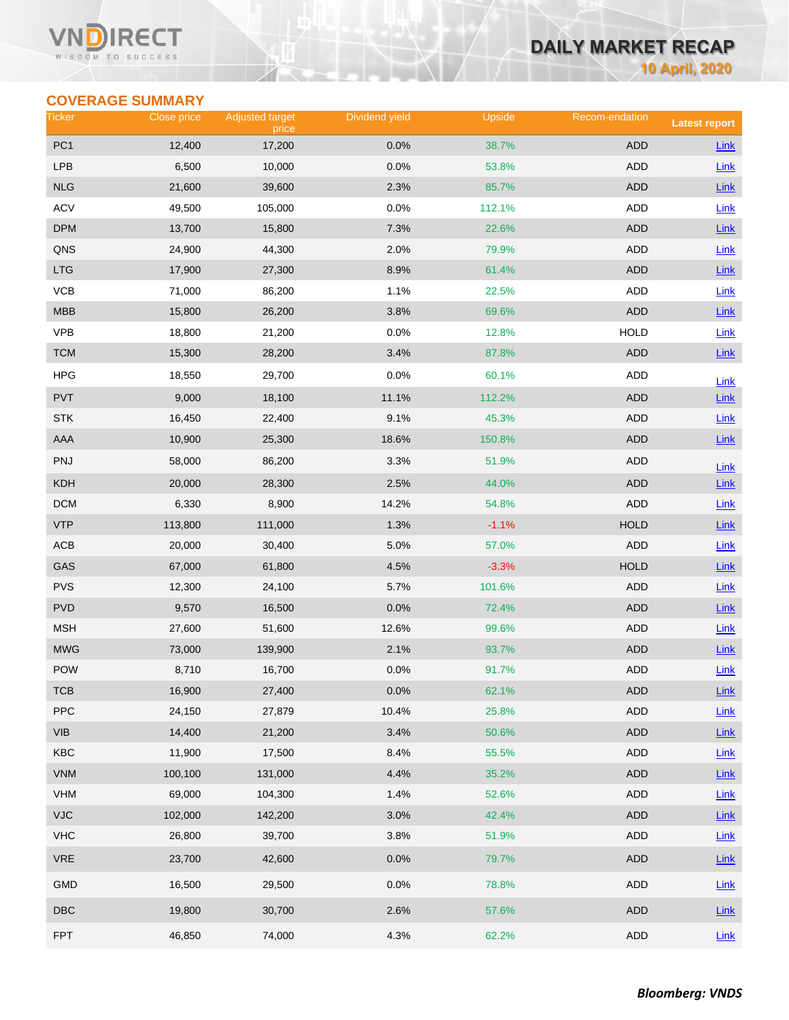#### Vľ RECT WISDOM TO SUCCESS

# **DAILY MARKET RECAP**

**10 April, 2020**

# **COVERAGE SUMMARY**

| Ticker                  | Close price | <b>Adjusted target</b><br>price | Dividend yield | Upside  | Recom-endation | <b>Latest report</b> |
|-------------------------|-------------|---------------------------------|----------------|---------|----------------|----------------------|
| PC <sub>1</sub>         | 12,400      | 17,200                          | 0.0%           | 38.7%   | <b>ADD</b>     | Link                 |
| <b>LPB</b>              | 6,500       | 10,000                          | 0.0%           | 53.8%   | ADD            | Link                 |
| <b>NLG</b>              | 21,600      | 39,600                          | 2.3%           | 85.7%   | <b>ADD</b>     | Link                 |
| <b>ACV</b>              | 49,500      | 105,000                         | 0.0%           | 112.1%  | <b>ADD</b>     | Link                 |
| <b>DPM</b>              | 13,700      | 15,800                          | 7.3%           | 22.6%   | <b>ADD</b>     | $Link$               |
| QNS                     | 24,900      | 44,300                          | 2.0%           | 79.9%   | <b>ADD</b>     | Link                 |
| <b>LTG</b>              | 17,900      | 27,300                          | 8.9%           | 61.4%   | <b>ADD</b>     | Link                 |
| VCB                     | 71,000      | 86,200                          | 1.1%           | 22.5%   | ADD            | Link                 |
| MBB                     | 15,800      | 26,200                          | 3.8%           | 69.6%   | <b>ADD</b>     | $Link$               |
| <b>VPB</b>              | 18,800      | 21,200                          | 0.0%           | 12.8%   | <b>HOLD</b>    | Link                 |
| <b>TCM</b>              | 15,300      | 28,200                          | 3.4%           | 87.8%   | <b>ADD</b>     | Link                 |
| <b>HPG</b>              | 18,550      | 29,700                          | 0.0%           | 60.1%   | ADD            | Link                 |
| <b>PVT</b>              | 9,000       | 18,100                          | 11.1%          | 112.2%  | <b>ADD</b>     | Link                 |
| <b>STK</b>              | 16,450      | 22,400                          | 9.1%           | 45.3%   | <b>ADD</b>     | Link                 |
| AAA                     | 10,900      | 25,300                          | 18.6%          | 150.8%  | <b>ADD</b>     | $Link$               |
| PNJ                     | 58,000      | 86,200                          | 3.3%           | 51.9%   | <b>ADD</b>     | Link                 |
| KDH                     | 20,000      | 28,300                          | 2.5%           | 44.0%   | <b>ADD</b>     | $Link$               |
| <b>DCM</b>              | 6,330       | 8,900                           | 14.2%          | 54.8%   | <b>ADD</b>     | Link                 |
| <b>VTP</b>              | 113,800     | 111,000                         | 1.3%           | $-1.1%$ | <b>HOLD</b>    | Link                 |
| ACB                     | 20,000      | 30,400                          | 5.0%           | 57.0%   | ADD            | <b>Link</b>          |
| GAS                     | 67,000      | 61,800                          | 4.5%           | $-3.3%$ | <b>HOLD</b>    | $Link$               |
| <b>PVS</b>              | 12,300      | 24,100                          | 5.7%           | 101.6%  | <b>ADD</b>     | Link                 |
| <b>PVD</b>              | 9,570       | 16,500                          | 0.0%           | 72.4%   | <b>ADD</b>     | $Link$               |
| <b>MSH</b>              | 27,600      | 51,600                          | 12.6%          | 99.6%   | ADD            | <b>Link</b>          |
| <b>MWG</b>              | 73,000      | 139,900                         | 2.1%           | 93.7%   | <b>ADD</b>     | $Link$               |
| POW                     | 8,710       | 16,700                          | 0.0%           | 91.7%   | <b>ADD</b>     | Link                 |
| тсв                     | 16,900      | 27,400                          | 0.0%           | 62.1%   | <b>ADD</b>     | $Link$               |
| PPC                     | 24,150      | 27,879                          | 10.4%          | 25.8%   | ADD            | Link                 |
| <b>VIB</b>              | 14,400      | 21,200                          | 3.4%           | 50.6%   | ADD            | $Link$               |
| KBC                     | 11,900      | 17,500                          | 8.4%           | 55.5%   | ADD            | Link                 |
| <b>VNM</b>              | 100,100     | 131,000                         | 4.4%           | 35.2%   | <b>ADD</b>     | $Link$               |
| VHM                     | 69,000      | 104,300                         | 1.4%           | 52.6%   | ADD            | Link                 |
| VJC                     | 102,000     | 142,200                         | 3.0%           | 42.4%   | ADD            | Link                 |
| <b>VHC</b>              | 26,800      | 39,700                          | 3.8%           | 51.9%   | ADD            | Link                 |
| <b>VRE</b>              | 23,700      | 42,600                          | 0.0%           | 79.7%   | ADD            | $Link$               |
| GMD                     | 16,500      | 29,500                          | 0.0%           | 78.8%   | ADD            | Link                 |
| $\overline{\text{DBC}}$ | 19,800      | 30,700                          | 2.6%           | 57.6%   | ADD            | $Link$               |
| <b>FPT</b>              | 46,850      | 74,000                          | 4.3%           | 62.2%   | ADD            | Link                 |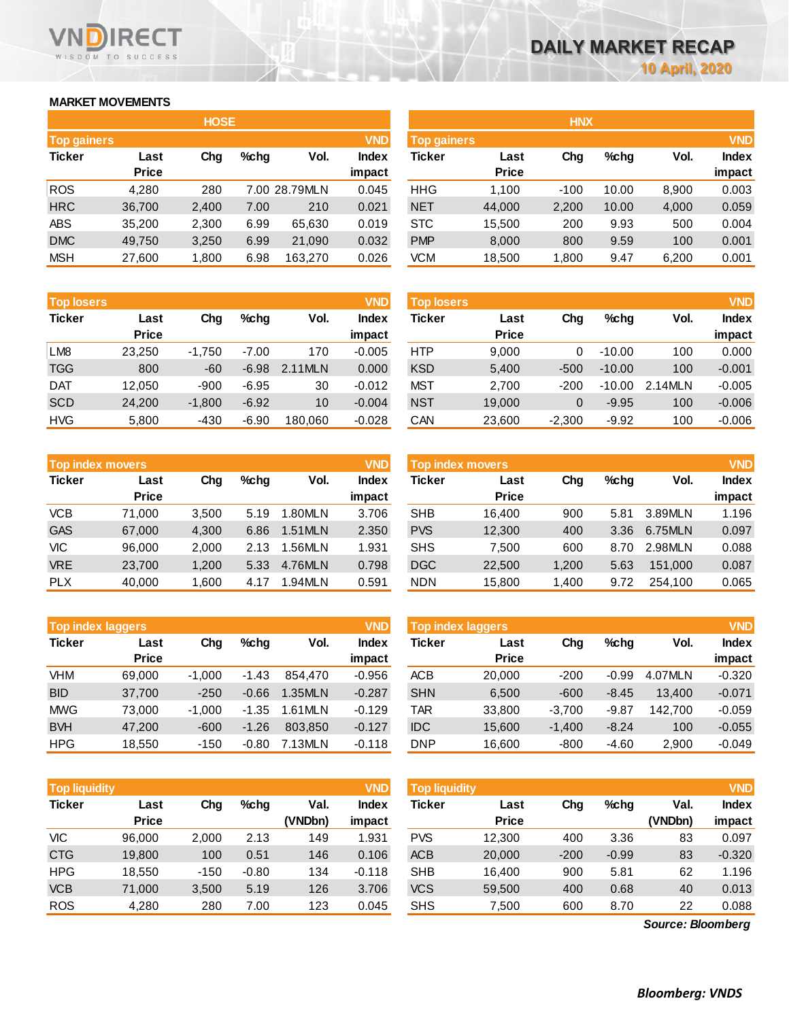## **MARKET MOVEMENTS**

WISDOM TO SUCCESS

**RECT** 

VND

|                    | <b>HOSE</b>  |       |      |               |              |  |  |  |  |  |  |  |  |
|--------------------|--------------|-------|------|---------------|--------------|--|--|--|--|--|--|--|--|
| <b>Top gainers</b> |              |       |      |               | <b>VND</b>   |  |  |  |  |  |  |  |  |
| <b>Ticker</b>      | Last         | Cha   | %chq | Vol.          | <b>Index</b> |  |  |  |  |  |  |  |  |
|                    | <b>Price</b> |       |      |               | impact       |  |  |  |  |  |  |  |  |
| <b>ROS</b>         | 4,280        | 280   |      | 7.00 28.79MLN | 0.045        |  |  |  |  |  |  |  |  |
| <b>HRC</b>         | 36,700       | 2,400 | 7.00 | 210           | 0.021        |  |  |  |  |  |  |  |  |
| <b>ABS</b>         | 35,200       | 2,300 | 6.99 | 65,630        | 0.019        |  |  |  |  |  |  |  |  |
| <b>DMC</b>         | 49,750       | 3,250 | 6.99 | 21,090        | 0.032        |  |  |  |  |  |  |  |  |
| <b>MSH</b>         | 27,600       | 1,800 | 6.98 | 163,270       | 0.026        |  |  |  |  |  |  |  |  |

| <b>Top losers</b> |              |          |         |         | <b>VND</b>   |
|-------------------|--------------|----------|---------|---------|--------------|
| <b>Ticker</b>     | Last         | Cha      | %chq    | Vol.    | <b>Index</b> |
|                   | <b>Price</b> |          |         |         | impact       |
| LM <sub>8</sub>   | 23,250       | $-1,750$ | $-7.00$ | 170     | $-0.005$     |
| <b>TGG</b>        | 800          | $-60$    | $-6.98$ | 2.11MLN | 0.000        |
| <b>DAT</b>        | 12,050       | $-900$   | $-6.95$ | 30      | $-0.012$     |
| <b>SCD</b>        | 24,200       | $-1,800$ | $-6.92$ | 10      | $-0.004$     |
| <b>HVG</b>        | 5,800        | -430     | $-6.90$ | 180.060 | $-0.028$     |

| <b>Top index movers</b> |              |       |      |         | <b>VND</b>   |
|-------------------------|--------------|-------|------|---------|--------------|
| <b>Ticker</b>           | Last         | Cha   |      | Vol.    | <b>Index</b> |
|                         | <b>Price</b> |       |      |         | impact       |
| <b>VCB</b>              | 71,000       | 3,500 | 5.19 | 1.80MLN | 3.706        |
| <b>GAS</b>              | 67,000       | 4,300 | 6.86 | 1.51MLN | 2.350        |
| <b>VIC</b>              | 96,000       | 2,000 | 2.13 | 1.56MLN | 1.931        |
| <b>VRE</b>              | 23,700       | 1,200 | 5.33 | 4.76MLN | 0.798        |
| <b>PLX</b>              | 40,000       | 1,600 | 4.17 | 1.94MLN | 0.591        |

| <b>Top index laggers</b> |              |          |         |         | <b>VND</b>   |
|--------------------------|--------------|----------|---------|---------|--------------|
| <b>Ticker</b>            | Last         | Cha      | %chq    | Vol.    | <b>Index</b> |
|                          | <b>Price</b> |          |         |         | impact       |
| <b>VHM</b>               | 69,000       | $-1,000$ | $-1.43$ | 854.470 | $-0.956$     |
| <b>BID</b>               | 37,700       | $-250$   | $-0.66$ | 1.35MLN | $-0.287$     |
| <b>MWG</b>               | 73,000       | $-1,000$ | $-1.35$ | 1.61MLN | $-0.129$     |
| <b>BVH</b>               | 47,200       | $-600$   | $-1.26$ | 803.850 | $-0.127$     |
| <b>HPG</b>               | 18.550       | $-150$   | $-0.80$ | 7.13MLN | $-0.118$     |

| <b>Top liquidity</b> |                      |        |         |                 | <b>VND</b>      | <b>Top liquidity</b> |                      |        |         |                 |                 |  |
|----------------------|----------------------|--------|---------|-----------------|-----------------|----------------------|----------------------|--------|---------|-----------------|-----------------|--|
| <b>Ticker</b>        | Last<br><b>Price</b> | Chg    | %chq    | Val.<br>(VNDbn) | Index<br>impact | Ticker               | Last<br><b>Price</b> | Chg    | $%$ chq | Val.<br>(VNDbn) | Index<br>impact |  |
| VIC                  | 96,000               | 2,000  | 2.13    | 149             | 1.931           | <b>PVS</b>           | 12,300               | 400    | 3.36    | 83              | 0.097           |  |
| <b>CTG</b>           | 19,800               | 100    | 0.51    | 146             | 0.106           | <b>ACB</b>           | 20,000               | $-200$ | $-0.99$ | 83              | $-0.320$        |  |
| <b>HPG</b>           | 18,550               | $-150$ | $-0.80$ | 134             | $-0.118$        | <b>SHB</b>           | 16,400               | 900    | 5.81    | 62              | 1.196           |  |
| <b>VCB</b>           | 71.000               | 3,500  | 5.19    | 126             | 3.706           | <b>VCS</b>           | 59,500               | 400    | 0.68    | 40              | 0.013           |  |
| <b>ROS</b>           | 4,280                | 280    | 7.00    | 123             | 0.045           | <b>SHS</b>           | 7,500                | 600    | 8.70    | 22              | 0.088           |  |

|                    |              | <b>HOSE</b> |         |               |              | <b>HNX</b>         |              |        |         |       |            |  |  |
|--------------------|--------------|-------------|---------|---------------|--------------|--------------------|--------------|--------|---------|-------|------------|--|--|
| <b>Top gainers</b> |              |             |         |               | <b>VND</b>   | <b>Top gainers</b> |              |        |         |       | <b>VND</b> |  |  |
| Ticker             | Last         | Chg         | $%$ chg | Vol.          | <b>Index</b> | Ticker             | Last         | Chg    | $%$ chg | Vol.  | Index      |  |  |
|                    | <b>Price</b> |             |         |               | impact       |                    | <b>Price</b> |        |         |       | impact     |  |  |
| <b>ROS</b>         | 4,280        | 280         |         | 7.00 28.79MLN | 0.045        | <b>HHG</b>         | 1.100        | $-100$ | 10.00   | 8,900 | 0.003      |  |  |
| <b>HRC</b>         | 36,700       | 2,400       | 7.00    | 210           | 0.021        | <b>NET</b>         | 44,000       | 2,200  | 10.00   | 4,000 | 0.059      |  |  |
| ABS                | 35,200       | 2,300       | 6.99    | 65,630        | 0.019        | <b>STC</b>         | 15,500       | 200    | 9.93    | 500   | 0.004      |  |  |
| <b>DMC</b>         | 49,750       | 3,250       | 6.99    | 21,090        | 0.032        | <b>PMP</b>         | 8,000        | 800    | 9.59    | 100   | 0.001      |  |  |
| MSH                | 27,600       | 1,800       | 6.98    | 163,270       | 0.026        | VCM                | 18,500       | 1,800  | 9.47    | 6,200 | 0.001      |  |  |
|                    |              |             |         |               |              |                    |              |        |         |       |            |  |  |

| <b>VND</b><br><b>Top losers</b> |                      |          |         |         |                        | <b>Top losers</b> |                      |          |          |         |                        |
|---------------------------------|----------------------|----------|---------|---------|------------------------|-------------------|----------------------|----------|----------|---------|------------------------|
| Ticker                          | Last<br><b>Price</b> | Chg      | $%$ chg | Vol.    | <b>Index</b><br>impact | Ticker            | Last<br><b>Price</b> | Chg      | $%$ chg  | Vol.    | <b>Index</b><br>impact |
| LM8                             | 23.250               | $-1.750$ | $-7.00$ | 170     | $-0.005$               | <b>HTP</b>        | 9.000                | 0        | $-10.00$ | 100     | 0.000                  |
| TGG                             | 800                  | $-60$    | $-6.98$ | 2.11MLN | 0.000                  | <b>KSD</b>        | 5,400                | $-500$   | $-10.00$ | 100     | $-0.001$               |
| DAT                             | 12.050               | $-900$   | $-6.95$ | 30      | $-0.012$               | MST               | 2,700                | -200     | $-10.00$ | 2.14MLN | $-0.005$               |
| <b>SCD</b>                      | 24.200               | $-1.800$ | $-6.92$ | 10      | $-0.004$               | <b>NST</b>        | 19,000               | 0        | $-9.95$  | 100     | $-0.006$               |
| <b>HVG</b>                      | 5,800                | -430     | $-6.90$ | 180.060 | $-0.028$               | CAN               | 23,600               | $-2,300$ | $-9.92$  | 100     | $-0.006$               |

| <b>Top index movers</b> |              |       |      |         | <b>VND</b>   | <b>Top index movers</b> |              |       |         |         |              |
|-------------------------|--------------|-------|------|---------|--------------|-------------------------|--------------|-------|---------|---------|--------------|
| Ticker                  | Last         | Chg   | %chq | Vol.    | <b>Index</b> | Ticker                  | Last         | Chg   | $%$ chg | Vol.    | <b>Index</b> |
|                         | <b>Price</b> |       |      |         | impact       |                         | <b>Price</b> |       |         |         | impact       |
| VCB                     | 71.000       | 3,500 | 5.19 | 1.80MLN | 3.706        | <b>SHB</b>              | 16.400       | 900   | 5.81    | 3.89MLN | 1.196        |
| GAS                     | 67,000       | 4.300 | 6.86 | 1.51MLN | 2.350        | <b>PVS</b>              | 12,300       | 400   | 3.36    | 6.75MLN | 0.097        |
| VIC                     | 96.000       | 2,000 | 2.13 | 1.56MLN | 1.931        | <b>SHS</b>              | 7.500        | 600   | 8.70    | 2.98MLN | 0.088        |
| <b>VRE</b>              | 23,700       | 1.200 | 5.33 | 4.76MLN | 0.798        | <b>DGC</b>              | 22,500       | 1.200 | 5.63    | 151.000 | 0.087        |
| <b>PLX</b>              | 40,000       | 1,600 | 4.17 | 1.94MLN | 0.591        | <b>NDN</b>              | 15,800       | 1,400 | 9.72    | 254.100 | 0.065        |
|                         |              |       |      |         |              |                         |              |       |         |         |              |

| <b>Top index laggers</b> |                      |          |         |         | <b>VND</b>      | <b>Top index laggers</b> |                      |          |         |         |                        |
|--------------------------|----------------------|----------|---------|---------|-----------------|--------------------------|----------------------|----------|---------|---------|------------------------|
| Ticker                   | Last<br><b>Price</b> | Chg      | $%$ chg | Vol.    | Index<br>impact | Ticker                   | Last<br><b>Price</b> | Chg      | $%$ chg | Vol.    | <b>Index</b><br>impact |
| VHM                      | 69,000               | $-1.000$ | $-1.43$ | 854.470 | $-0.956$        | <b>ACB</b>               | 20,000               | $-200$   | $-0.99$ | 4.07MLN | $-0.320$               |
| <b>BID</b>               | 37.700               | $-250$   | $-0.66$ | 1.35MLN | $-0.287$        | <b>SHN</b>               | 6,500                | $-600$   | $-8.45$ | 13.400  | $-0.071$               |
| MWG                      | 73.000               | $-1.000$ | $-1.35$ | 1.61MLN | $-0.129$        | TAR                      | 33,800               | $-3.700$ | $-9.87$ | 142.700 | $-0.059$               |
| <b>BVH</b>               | 47.200               | $-600$   | $-1.26$ | 803.850 | $-0.127$        | <b>IDC</b>               | 15.600               | $-1.400$ | $-8.24$ | 100     | $-0.055$               |
| HPG                      | 18.550               | $-150$   | $-0.80$ | 7.13MLN | $-0.118$        | <b>DNP</b>               | 16,600               | $-800$   | $-4.60$ | 2.900   | $-0.049$               |

| <b>Top liquidity</b> |              |        |         |         | <b>VND</b>   | <b>Top liquidity</b> |              |        |         |                   | <b>VND</b>   |
|----------------------|--------------|--------|---------|---------|--------------|----------------------|--------------|--------|---------|-------------------|--------------|
| Ticker               | Last         | Chg    | $%$ chg | Val.    | <b>Index</b> | Ticker               | Last         | Chg    | $%$ chg | Val.              | <b>Index</b> |
|                      | <b>Price</b> |        |         | (VNDbn) | impact       |                      | <b>Price</b> |        |         | (VNDbn)           | impact       |
| VIC                  | 96.000       | 2,000  | 2.13    | 149     | 1.931        | <b>PVS</b>           | 12,300       | 400    | 3.36    | 83                | 0.097        |
| <b>CTG</b>           | 19,800       | 100    | 0.51    | 146     | 0.106        | <b>ACB</b>           | 20,000       | $-200$ | $-0.99$ | 83                | $-0.320$     |
| HPG                  | 18,550       | $-150$ | $-0.80$ | 134     | $-0.118$     | <b>SHB</b>           | 16.400       | 900    | 5.81    | 62                | 1.196        |
| <b>VCB</b>           | 71,000       | 3,500  | 5.19    | 126     | 3.706        | <b>VCS</b>           | 59,500       | 400    | 0.68    | 40                | 0.013        |
| <b>ROS</b>           | 4,280        | 280    | 7.00    | 123     | 0.045        | <b>SHS</b>           | 7,500        | 600    | 8.70    | 22                | 0.088        |
|                      |              |        |         |         |              |                      |              |        |         | Source: Bloomberg |              |

*Source: Bloomberg*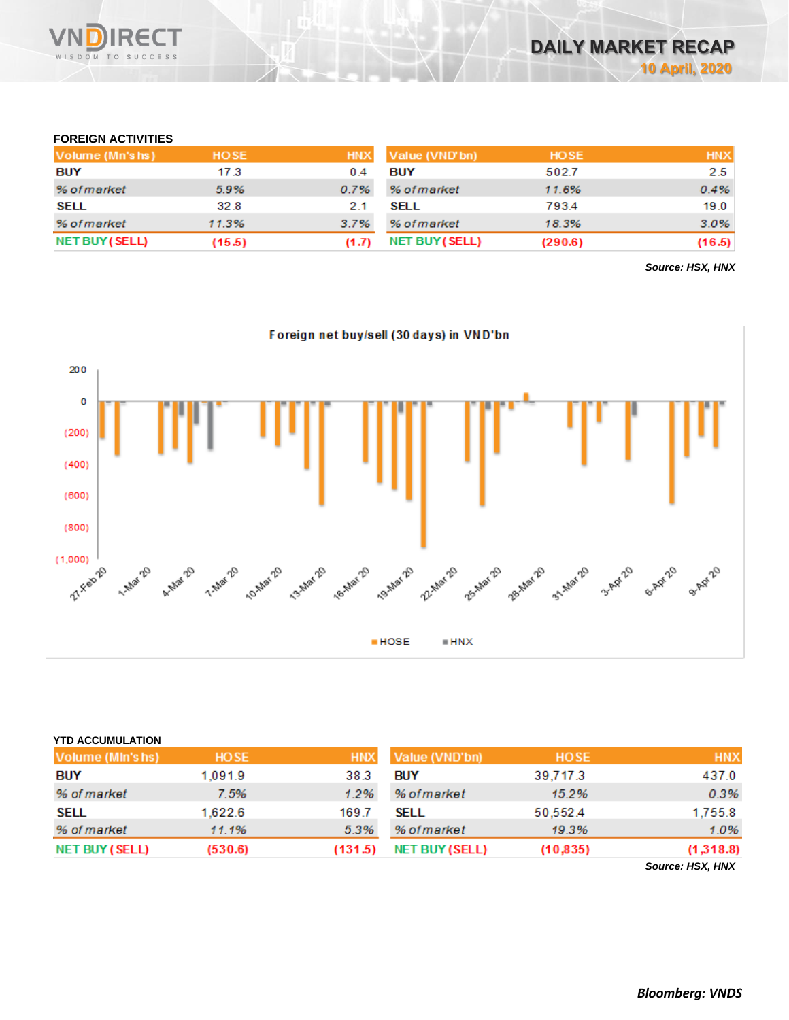

## **FOREIGN ACTIVITIES**

| Volume (Mn's hs) | <b>HOSE</b> |       | HNX Value (VND'bn) | <b>HOSE</b> | <b>HNX</b> |
|------------------|-------------|-------|--------------------|-------------|------------|
| <b>BUY</b>       | 17.3        | 0.4   | <b>BUY</b>         | 502.7       | 2.5        |
| % of market      | 5.9%        | 0.7%  | % of market        | 11.6%       | 0.4%       |
| <b>SELL</b>      | 32.8        | 2.1   | SELL               | 793.4       | 19.0       |
| % of market      | 11.3%       | 3.7%  | % of market        | 18.3%       | 3.0%       |
| NET BUY (SELL)   | (15.5)      | (1.7) | NET BUY (SELL)     | (290.6)     | (16.5)     |

*Source: HSX, HNX*



| <b>YTD ACCUMULATION</b>  |             |            |                       |             |                  |
|--------------------------|-------------|------------|-----------------------|-------------|------------------|
| <b>Volume (MIn's hs)</b> | <b>HOSE</b> | <b>HNX</b> | Value (VND'bn)        | <b>HOSE</b> | <b>HNX</b>       |
| <b>BUY</b>               | 1.091.9     | 38.3       | <b>BUY</b>            | 39.717.3    | 437.0            |
| % of market              | 7.5%        | 1.2%       | % of market           | 15.2%       | 0.3%             |
| <b>SELL</b>              | 1.622.6     | 169.7      | SELL                  | 50.552.4    | 1.755.8          |
| % of market              | 11.1%       | 5.3%       | % of market           | 19.3%       | 1.0%             |
| <b>NET BUY (SELL)</b>    | (530.6)     | (131.5)    | <b>NET BUY (SELL)</b> | (10, 835)   | (1,318.8)        |
|                          |             |            |                       |             | Source: HSX, HNX |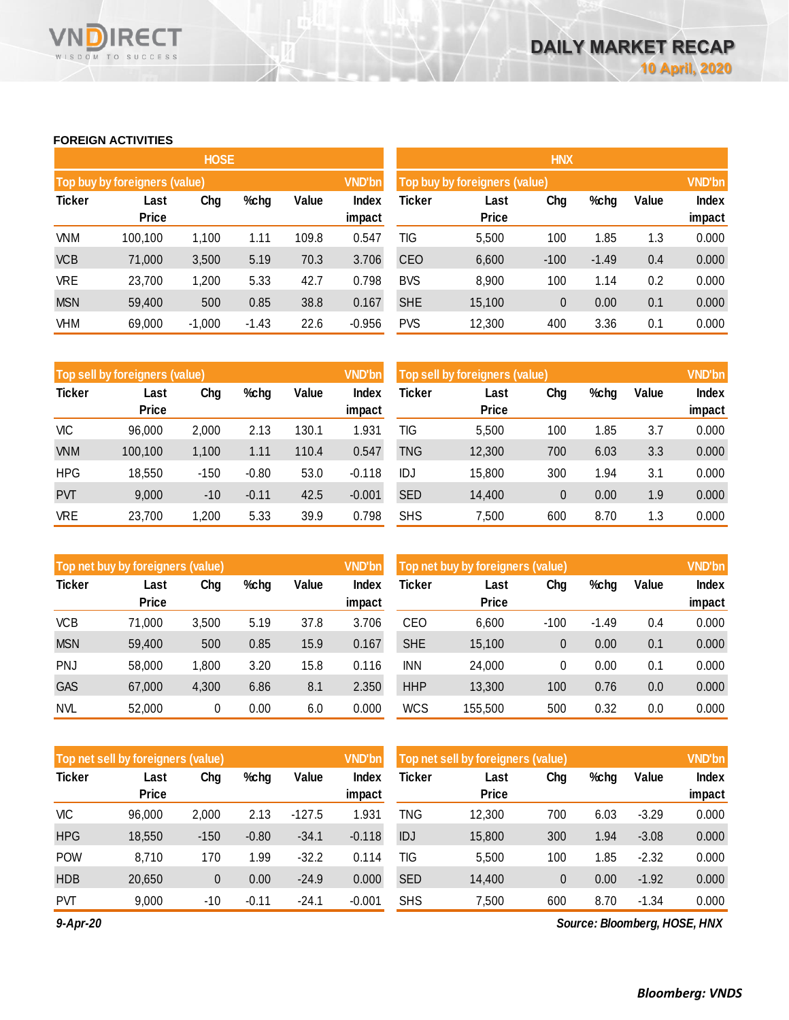#### **FOREIGN ACTIVITIES**

WISDOM TO SUCCESS

**RECT** 

VND

|               |                               | <b>HOSE</b> |         |       |                 | <b>HNX</b>                    |                      |        |         |       |                 |  |
|---------------|-------------------------------|-------------|---------|-------|-----------------|-------------------------------|----------------------|--------|---------|-------|-----------------|--|
|               | Top buy by foreigners (value) |             |         |       | <b>VND'bn</b>   | Top buy by foreigners (value) |                      |        |         |       |                 |  |
| <b>Ticker</b> | Last<br><b>Price</b>          | Chg         | %chg    | Value | Index<br>impact | Ticker                        | Last<br><b>Price</b> | Chg    | %chg    | Value | Index<br>impact |  |
| <b>VNM</b>    | 100,100                       | 1,100       | 1.11    | 109.8 | 0.547           | TIG                           | 5,500                | 100    | 1.85    | 1.3   | 0.000           |  |
| <b>VCB</b>    | 71,000                        | 3,500       | 5.19    | 70.3  | 3.706           | <b>CEO</b>                    | 6,600                | $-100$ | $-1.49$ | 0.4   | 0.000           |  |
| <b>VRE</b>    | 23,700                        | 1,200       | 5.33    | 42.7  | 0.798           | <b>BVS</b>                    | 8,900                | 100    | 1.14    | 0.2   | 0.000           |  |
| <b>MSN</b>    | 59,400                        | 500         | 0.85    | 38.8  | 0.167           | <b>SHE</b>                    | 15,100               | 0      | 0.00    | 0.1   | 0.000           |  |
| <b>VHM</b>    | 69,000                        | $-1,000$    | $-1.43$ | 22.6  | $-0.956$        | <b>PVS</b>                    | 12,300               | 400    | 3.36    | 0.1   | 0.000           |  |

|               | Top sell by foreigners (value) |        |         |       | <b>VND'bn</b> | Top sell by foreigners (value), |              | <b>VND'bn</b> |      |       |        |
|---------------|--------------------------------|--------|---------|-------|---------------|---------------------------------|--------------|---------------|------|-------|--------|
| <b>Ticker</b> | Last                           | Chg    | %chg    | Value | <b>Index</b>  | Ticker                          | Last         | Chg           | %chg | Value | Index  |
|               | <b>Price</b>                   |        |         |       | impact        |                                 | <b>Price</b> |               |      |       | impact |
| VIC           | 96,000                         | 2,000  | 2.13    | 130.1 | 1.931         | TIG                             | 5.500        | 100           | 1.85 | 3.7   | 0.000  |
| <b>VNM</b>    | 100,100                        | 1,100  | 1.11    | 110.4 | 0.547         | TNG                             | 12,300       | 700           | 6.03 | 3.3   | 0.000  |
| <b>HPG</b>    | 18.550                         | $-150$ | $-0.80$ | 53.0  | $-0.118$      | IDJ                             | 15,800       | 300           | 1.94 | 3.1   | 0.000  |
| <b>PVT</b>    | 9,000                          | $-10$  | $-0.11$ | 42.5  | $-0.001$      | <b>SED</b>                      | 14,400       | 0             | 0.00 | 1.9   | 0.000  |
| <b>VRE</b>    | 23,700                         | 1,200  | 5.33    | 39.9  | 0.798         | <b>SHS</b>                      | 7,500        | 600           | 8.70 | 1.3   | 0.000  |

| Top net buy by foreigners (value) |              |       |      |       | <b>VND'bn</b> | Top net buy by foreigners (value) |              | <b>VND'bn</b> |         |       |              |
|-----------------------------------|--------------|-------|------|-------|---------------|-----------------------------------|--------------|---------------|---------|-------|--------------|
| <b>Ticker</b>                     | Last         | Chg   | %chg | Value | <b>Index</b>  | Ticker                            | Last         | Chg           | %chg    | Value | <b>Index</b> |
|                                   | <b>Price</b> |       |      |       | impact        |                                   | <b>Price</b> |               |         |       | impact       |
| <b>VCB</b>                        | 71.000       | 3,500 | 5.19 | 37.8  | 3.706         | CEO                               | 6,600        | $-100$        | $-1.49$ | 0.4   | 0.000        |
| <b>MSN</b>                        | 59.400       | 500   | 0.85 | 15.9  | 0.167         | <b>SHE</b>                        | 15,100       | 0             | 0.00    | 0.1   | 0.000        |
| <b>PNJ</b>                        | 58,000       | 1,800 | 3.20 | 15.8  | 0.116         | <b>INN</b>                        | 24,000       | 0             | 0.00    | 0.1   | 0.000        |
| <b>GAS</b>                        | 67,000       | 4,300 | 6.86 | 8.1   | 2.350         | <b>HHP</b>                        | 13,300       | 100           | 0.76    | 0.0   | 0.000        |
| <b>NVL</b>                        | 52,000       | 0     | 0.00 | 6.0   | 0.000         | <b>WCS</b>                        | 155.500      | 500           | 0.32    | 0.0   | 0.000        |

|               | Top net sell by foreigners (value) |        |         |          | <b>VND'bn</b> | Top net sell by foreigners (value) |              | <b>VND'bn</b> |      |         |        |
|---------------|------------------------------------|--------|---------|----------|---------------|------------------------------------|--------------|---------------|------|---------|--------|
| <b>Ticker</b> | Last                               | Chg    | %chg    | Value    | Index         | Ticker                             | Last         | Chg           | %chg | Value   | Index  |
|               | Price                              |        |         |          | impact        |                                    | <b>Price</b> |               |      |         | impact |
| VIC           | 96,000                             | 2,000  | 2.13    | $-127.5$ | .931          | TNG                                | 12,300       | 700           | 6.03 | $-3.29$ | 0.000  |
| <b>HPG</b>    | 18.550                             | $-150$ | $-0.80$ | $-34.1$  | $-0.118$      | IDJ                                | 15,800       | 300           | 1.94 | $-3.08$ | 0.000  |
| <b>POW</b>    | 8.710                              | 170    | 1.99    | $-32.2$  | 0.114         | TIG                                | 5,500        | 100           | 1.85 | $-2.32$ | 0.000  |
| <b>HDB</b>    | 20,650                             | 0      | 0.00    | $-24.9$  | 0.000         | <b>SED</b>                         | 14,400       | $\mathbf 0$   | 0.00 | $-1.92$ | 0.000  |
| <b>PVT</b>    | 9,000                              | $-10$  | $-0.11$ | $-24.1$  | $-0.001$      | <b>SHS</b>                         | 7,500        | 600           | 8.70 | $-1.34$ | 0.000  |

*9-Apr-20*

*Source: Bloomberg, HOSE, HNX*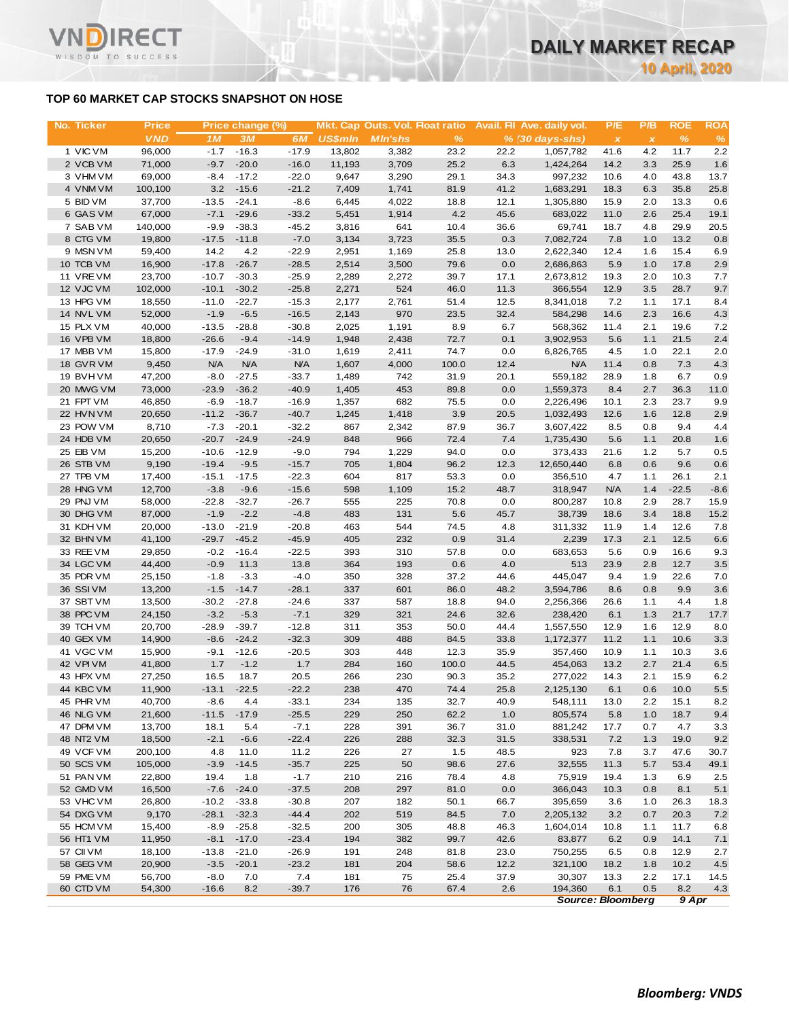## **TOP 60 MARKET CAP STOCKS SNAPSHOT ON HOSE**

Τ.

WISDOM TO SUCCESS

| No. Ticker             | <b>Price</b>      |                    | Price change (%)   |                    |                | Mkt. Cap Outs. Vol. Float ratio |              |             | Avail. Fil Ave. daily vol. | P/E                       | P/B            | <b>ROE</b>   | <b>ROA</b>  |
|------------------------|-------------------|--------------------|--------------------|--------------------|----------------|---------------------------------|--------------|-------------|----------------------------|---------------------------|----------------|--------------|-------------|
|                        | <b>VND</b>        | 1M                 | 3M                 | 6M                 | <b>US\$mln</b> | <b>MIn'shs</b>                  | %            |             | $% (30 days-shs)$          | $\boldsymbol{\mathsf{x}}$ | $\pmb{\times}$ | $\%$         | %           |
| 1 VIC VM               | 96,000            | $-1.7$             | $-16.3$            | $-17.9$            | 13,802         | 3,382                           | 23.2         | 22.2        | 1,057,782                  | 41.6                      | 4.2            | 11.7         | 2.2         |
| 2 VCB VM               | 71,000            | $-9.7$             | $-20.0$            | $-16.0$            | 11,193         | 3,709                           | 25.2         | 6.3         | 1,424,264                  | 14.2                      | 3.3            | 25.9         | 1.6         |
| 3 VHM VM               | 69,000            | $-8.4$             | $-17.2$            | $-22.0$            | 9,647          | 3,290                           | 29.1         | 34.3        | 997,232                    | 10.6                      | 4.0            | 43.8         | 13.7        |
| 4 VNM VM               | 100,100           | 3.2                | $-15.6$            | $-21.2$            | 7,409          | 1,741                           | 81.9         | 41.2        | 1,683,291                  | 18.3                      | 6.3            | 35.8         | 25.8        |
| 5 BID VM               | 37,700            | $-13.5$            | $-24.1$            | $-8.6$             | 6,445          | 4,022                           | 18.8         | 12.1        | 1,305,880                  | 15.9                      | 2.0            | 13.3         | 0.6         |
| 6 GAS VM               | 67,000            | $-7.1$             | $-29.6$            | $-33.2$            | 5,451          | 1,914                           | 4.2          | 45.6        | 683,022                    | 11.0<br>18.7              | 2.6<br>4.8     | 25.4<br>29.9 | 19.1        |
| 7 SAB VM<br>8 CTG VM   | 140,000<br>19,800 | $-9.9$<br>$-17.5$  | $-38.3$<br>$-11.8$ | $-45.2$<br>$-7.0$  | 3,816<br>3,134 | 641<br>3,723                    | 10.4<br>35.5 | 36.6<br>0.3 | 69,741<br>7,082,724        | 7.8                       | 1.0            | 13.2         | 20.5<br>0.8 |
| 9 MSN VM               | 59,400            | 14.2               | 4.2                | $-22.9$            | 2,951          | 1,169                           | 25.8         | 13.0        | 2,622,340                  | 12.4                      | 1.6            | 15.4         | 6.9         |
| 10 TCB VM              | 16,900            | $-17.8$            | $-26.7$            | $-28.5$            | 2,514          | 3,500                           | 79.6         | 0.0         | 2,686,863                  | 5.9                       | 1.0            | 17.8         | 2.9         |
| 11 VREVM               | 23,700            | $-10.7$            | $-30.3$            | $-25.9$            | 2,289          | 2,272                           | 39.7         | 17.1        | 2,673,812                  | 19.3                      | 2.0            | 10.3         | 7.7         |
| 12 VJC VM              | 102,000           | $-10.1$            | $-30.2$            | $-25.8$            | 2,271          | 524                             | 46.0         | 11.3        | 366,554                    | 12.9                      | 3.5            | 28.7         | 9.7         |
| 13 HPG VM              | 18,550            | $-11.0$            | $-22.7$            | $-15.3$            | 2,177          | 2,761                           | 51.4         | 12.5        | 8,341,018                  | 7.2                       | 1.1            | 17.1         | 8.4         |
| 14 NVL VM              | 52,000            | $-1.9$             | $-6.5$             | $-16.5$            | 2,143          | 970                             | 23.5         | 32.4        | 584,298                    | 14.6                      | 2.3            | 16.6         | 4.3         |
| 15 PLX VM              | 40,000            | $-13.5$            | $-28.8$            | $-30.8$            | 2,025          | 1,191                           | 8.9          | 6.7         | 568,362                    | 11.4                      | 2.1            | 19.6         | 7.2         |
| 16 VPB VM              | 18,800            | $-26.6$            | $-9.4$             | $-14.9$            | 1,948          | 2,438                           | 72.7         | 0.1         | 3,902,953                  | 5.6                       | 1.1            | 21.5         | 2.4         |
| 17 MBB VM              | 15,800            | $-17.9$            | $-24.9$            | $-31.0$            | 1,619          | 2,411                           | 74.7         | 0.0         | 6,826,765                  | 4.5                       | 1.0            | 22.1         | 2.0         |
| 18 GVR VM              | 9,450             | <b>N/A</b>         | <b>N/A</b>         | <b>N/A</b>         | 1,607          | 4,000                           | 100.0        | 12.4        | <b>N/A</b>                 | 11.4                      | 0.8            | 7.3          | 4.3         |
| 19 BVHVM               | 47,200            | $-8.0$             | $-27.5$            | $-33.7$            | 1,489          | 742                             | 31.9         | 20.1        | 559,182                    | 28.9                      | 1.8            | 6.7          | 0.9         |
| 20 MWG VM              | 73,000            | $-23.9$            | $-36.2$            | $-40.9$            | 1,405          | 453                             | 89.8         | 0.0         | 1,559,373                  | 8.4                       | 2.7            | 36.3         | 11.0        |
| 21 FPT VM              | 46,850            | $-6.9$             | $-18.7$            | $-16.9$            | 1,357          | 682                             | 75.5         | 0.0         | 2,226,496                  | 10.1                      | 2.3            | 23.7         | 9.9         |
| 22 HVN VM              | 20,650            | $-11.2$            | $-36.7$            | $-40.7$            | 1,245          | 1,418                           | 3.9          | 20.5        | 1,032,493                  | 12.6                      | 1.6            | 12.8         | 2.9         |
| 23 POW VM              | 8,710             | $-7.3$             | $-20.1$            | $-32.2$            | 867            | 2,342                           | 87.9         | 36.7        | 3,607,422                  | 8.5                       | 0.8            | 9.4          | 4.4         |
| 24 HDB VM              | 20,650            | $-20.7$            | $-24.9$            | $-24.9$            | 848            | 966                             | 72.4         | 7.4         | 1,735,430                  | 5.6                       | 1.1            | 20.8         | 1.6         |
| 25 EIB VM              | 15,200            | $-10.6$<br>$-19.4$ | $-12.9$            | $-9.0$             | 794<br>705     | 1,229                           | 94.0         | 0.0         | 373,433                    | 21.6                      | 1.2            | 5.7          | 0.5         |
| 26 STB VM<br>27 TPB VM | 9,190<br>17,400   | $-15.1$            | $-9.5$<br>$-17.5$  | $-15.7$<br>$-22.3$ | 604            | 1,804<br>817                    | 96.2<br>53.3 | 12.3<br>0.0 | 12,650,440<br>356,510      | 6.8<br>4.7                | 0.6<br>1.1     | 9.6<br>26.1  | 0.6<br>2.1  |
| 28 HNG VM              | 12,700            | $-3.8$             | $-9.6$             | $-15.6$            | 598            | 1,109                           | 15.2         | 48.7        | 318,947                    | <b>N/A</b>                | 1.4            | $-22.5$      | $-8.6$      |
| 29 PNJ VM              | 58,000            | $-22.8$            | $-32.7$            | $-26.7$            | 555            | 225                             | 70.8         | 0.0         | 800,287                    | 10.8                      | 2.9            | 28.7         | 15.9        |
| 30 DHG VM              | 87,000            | $-1.9$             | $-2.2$             | $-4.8$             | 483            | 131                             | 5.6          | 45.7        | 38,739                     | 18.6                      | 3.4            | 18.8         | 15.2        |
| 31 KDH VM              | 20,000            | $-13.0$            | $-21.9$            | $-20.8$            | 463            | 544                             | 74.5         | 4.8         | 311,332                    | 11.9                      | 1.4            | 12.6         | 7.8         |
| 32 BHN VM              | 41,100            | $-29.7$            | $-45.2$            | $-45.9$            | 405            | 232                             | 0.9          | 31.4        | 2,239                      | 17.3                      | 2.1            | 12.5         | 6.6         |
| 33 REE VM              | 29,850            | $-0.2$             | $-16.4$            | $-22.5$            | 393            | 310                             | 57.8         | 0.0         | 683,653                    | 5.6                       | 0.9            | 16.6         | 9.3         |
| 34 LGC VM              | 44,400            | $-0.9$             | 11.3               | 13.8               | 364            | 193                             | 0.6          | 4.0         | 513                        | 23.9                      | 2.8            | 12.7         | 3.5         |
| 35 PDR VM              | 25,150            | $-1.8$             | $-3.3$             | $-4.0$             | 350            | 328                             | 37.2         | 44.6        | 445,047                    | 9.4                       | 1.9            | 22.6         | 7.0         |
| 36 SSI VM              | 13,200            | $-1.5$             | $-14.7$            | $-28.1$            | 337            | 601                             | 86.0         | 48.2        | 3,594,786                  | 8.6                       | 0.8            | 9.9          | 3.6         |
| 37 SBT VM              | 13,500            | $-30.2$            | $-27.8$            | $-24.6$            | 337            | 587                             | 18.8         | 94.0        | 2,256,366                  | 26.6                      | 1.1            | 4.4          | 1.8         |
| 38 PPC VM              | 24,150            | $-3.2$             | $-5.3$             | $-7.1$             | 329            | 321                             | 24.6         | 32.6        | 238,420                    | 6.1                       | 1.3            | 21.7         | 17.7        |
| 39 TCH VM              | 20,700            | $-28.9$            | $-39.7$            | $-12.8$            | 311            | 353                             | 50.0         | 44.4        | 1,557,550                  | 12.9                      | 1.6            | 12.9         | 8.0         |
| 40 GEX VM              | 14,900            | $-8.6$             | $-24.2$            | $-32.3$            | 309            | 488                             | 84.5         | 33.8        | 1,172,377                  | 11.2                      | 1.1            | 10.6         | 3.3         |
| 41 VGC VM              | 15,900            | $-9.1$             | $-12.6$            | -20.5              | 303            | 448                             | 12.3         | 35.9        | 357,460                    | 10.9                      | 1.1            | 10.3         | 3.6         |
| 42 VPIVM               | 41,800            | 1.7                | $-1.2$             | 1.7                | 284            | 160                             | 100.0        | 44.5        | 454,063                    | 13.2                      | 2.7            | 21.4         | 6.5         |
| 43 HPX VM              | 27,250            | 16.5               | 18.7               | 20.5               | 266            | 230                             | 90.3         | 35.2        | 277,022                    | 14.3                      | 2.1            | 15.9         | 6.2         |
| 44 KBC VM              | 11,900            | $-13.1$            | $-22.5$            | $-22.2$            | 238            | 470                             | 74.4         | 25.8        | 2,125,130                  | 6.1                       | 0.6            | 10.0         | 5.5         |
| 45 PHR VM              | 40,700<br>21,600  | $-8.6$             | 4.4                | $-33.1$            | 234            | 135                             | 32.7         | 40.9        | 548,111                    | 13.0                      | 2.2            | 15.1         | 8.2         |
| 46 NLG VM<br>47 DPM VM | 13,700            | $-11.5$<br>18.1    | $-17.9$<br>5.4     | $-25.5$<br>$-7.1$  | 229<br>228     | 250<br>391                      | 62.2<br>36.7 | 1.0<br>31.0 | 805,574<br>881,242         | 5.8<br>17.7               | 1.0<br>0.7     | 18.7<br>4.7  | 9.4         |
| 48 NT2 VM              | 18,500            | $-2.1$             | $-6.6$             | $-22.4$            | 226            | 288                             | 32.3         | 31.5        | 338,531                    | 7.2                       | 1.3            | 19.0         | 3.3<br>9.2  |
| 49 VCF VM              | 200,100           | 4.8                | 11.0               | 11.2               | 226            | 27                              | 1.5          | 48.5        | 923                        | 7.8                       | 3.7            | 47.6         | 30.7        |
| 50 SCS VM              | 105,000           | $-3.9$             | $-14.5$            | $-35.7$            | 225            | 50                              | 98.6         | 27.6        | 32,555                     | 11.3                      | 5.7            | 53.4         | 49.1        |
| 51 PAN VM              | 22,800            | 19.4               | 1.8                | $-1.7$             | 210            | 216                             | 78.4         | 4.8         | 75,919                     | 19.4                      | 1.3            | 6.9          | 2.5         |
| 52 GMD VM              | 16,500            | $-7.6$             | $-24.0$            | $-37.5$            | 208            | 297                             | 81.0         | 0.0         | 366,043                    | 10.3                      | 0.8            | 8.1          | 5.1         |
| 53 VHC VM              | 26,800            | $-10.2$            | $-33.8$            | $-30.8$            | 207            | 182                             | 50.1         | 66.7        | 395,659                    | 3.6                       | 1.0            | 26.3         | 18.3        |
| 54 DXG VM              | 9,170             | $-28.1$            | $-32.3$            | $-44.4$            | 202            | 519                             | 84.5         | 7.0         | 2,205,132                  | 3.2                       | 0.7            | 20.3         | 7.2         |
| 55 HCM VM              | 15,400            | $-8.9$             | $-25.8$            | $-32.5$            | 200            | 305                             | 48.8         | 46.3        | 1,604,014                  | 10.8                      | 1.1            | 11.7         | 6.8         |
| 56 HT1 VM              | 11,950            | $-8.1$             | $-17.0$            | $-23.4$            | 194            | 382                             | 99.7         | 42.6        | 83,877                     | 6.2                       | 0.9            | 14.1         | 7.1         |
| 57 CII VM              | 18,100            | $-13.8$            | $-21.0$            | $-26.9$            | 191            | 248                             | 81.8         | 23.0        | 750,255                    | 6.5                       | 0.8            | 12.9         | 2.7         |
| 58 GEG VM              | 20,900            | $-3.5$             | $-20.1$            | $-23.2$            | 181            | 204                             | 58.6         | 12.2        | 321,100                    | 18.2                      | 1.8            | 10.2         | 4.5         |
| 59 PME VM              | 56,700            | $-8.0$             | 7.0                | 7.4                | 181            | 75                              | 25.4         | 37.9        | 30,307                     | 13.3                      | 2.2            | 17.1         | 14.5        |
| 60 CTD VM              | 54,300            | $-16.6$            | 8.2                | $-39.7$            | 176            | 76                              | 67.4         | 2.6         | 194,360                    | 6.1                       | 0.5            | 8.2          | 4.3         |